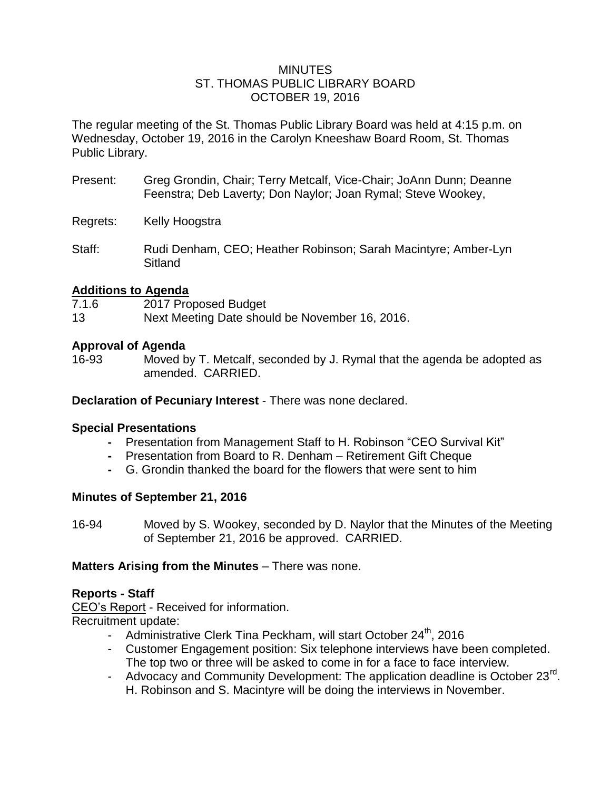### MINUTES ST. THOMAS PUBLIC LIBRARY BOARD OCTOBER 19, 2016

The regular meeting of the St. Thomas Public Library Board was held at 4:15 p.m. on Wednesday, October 19, 2016 in the Carolyn Kneeshaw Board Room, St. Thomas Public Library.

- Present: Greg Grondin, Chair; Terry Metcalf, Vice-Chair; JoAnn Dunn; Deanne Feenstra; Deb Laverty; Don Naylor; Joan Rymal; Steve Wookey,
- Regrets: Kelly Hoogstra
- Staff: Rudi Denham, CEO; Heather Robinson; Sarah Macintyre; Amber-Lyn Sitland

## **Additions to Agenda**

- 7.1.6 2017 Proposed Budget
- 13 Next Meeting Date should be November 16, 2016.

## **Approval of Agenda**

16-93 Moved by T. Metcalf, seconded by J. Rymal that the agenda be adopted as amended. CARRIED.

**Declaration of Pecuniary Interest** - There was none declared.

## **Special Presentations**

- **-** Presentation from Management Staff to H. Robinson "CEO Survival Kit"
- **-** Presentation from Board to R. Denham Retirement Gift Cheque
- **-** G. Grondin thanked the board for the flowers that were sent to him

## **Minutes of September 21, 2016**

16-94 Moved by S. Wookey, seconded by D. Naylor that the Minutes of the Meeting of September 21, 2016 be approved. CARRIED.

## **Matters Arising from the Minutes** – There was none.

## **Reports - Staff**

CEO's Report - Received for information. Recruitment update:

- Administrative Clerk Tina Peckham, will start October 24<sup>th</sup>, 2016
- Customer Engagement position: Six telephone interviews have been completed. The top two or three will be asked to come in for a face to face interview.
- Advocacy and Community Development: The application deadline is October 23 $^{\text{rd}}$ . H. Robinson and S. Macintyre will be doing the interviews in November.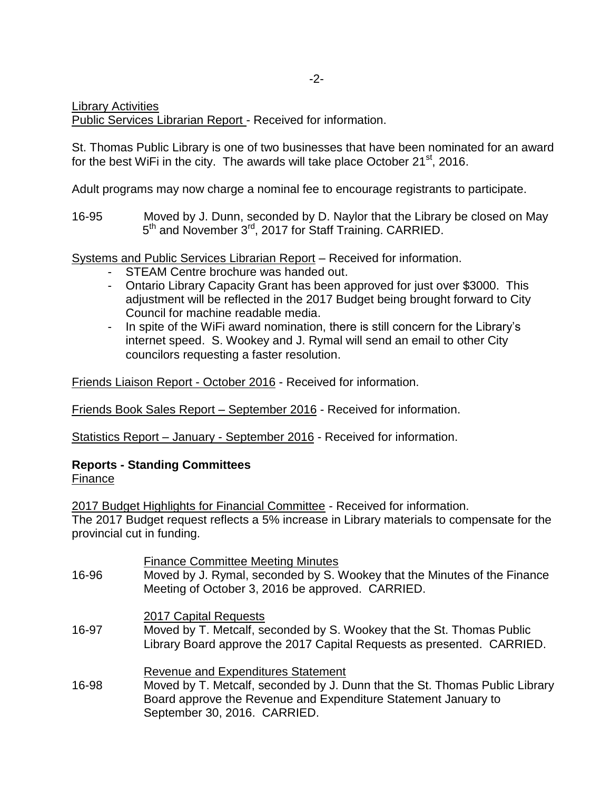Library Activities

Public Services Librarian Report - Received for information.

St. Thomas Public Library is one of two businesses that have been nominated for an award for the best WiFi in the city. The awards will take place October  $21^{st}$ , 2016.

Adult programs may now charge a nominal fee to encourage registrants to participate.

16-95 Moved by J. Dunn, seconded by D. Naylor that the Library be closed on May 5<sup>th</sup> and November 3<sup>rd</sup>, 2017 for Staff Training. CARRIED.

Systems and Public Services Librarian Report – Received for information.

- STEAM Centre brochure was handed out.
- Ontario Library Capacity Grant has been approved for just over \$3000. This adjustment will be reflected in the 2017 Budget being brought forward to City Council for machine readable media.
- In spite of the WiFi award nomination, there is still concern for the Library's internet speed. S. Wookey and J. Rymal will send an email to other City councilors requesting a faster resolution.

Friends Liaison Report - October 2016 - Received for information.

Friends Book Sales Report – September 2016 - Received for information.

Statistics Report – January - September 2016 - Received for information.

# **Reports - Standing Committees**

Finance

2017 Budget Highlights for Financial Committee - Received for information.

The 2017 Budget request reflects a 5% increase in Library materials to compensate for the provincial cut in funding.

| 16-96 | <b>Finance Committee Meeting Minutes</b><br>Moved by J. Rymal, seconded by S. Wookey that the Minutes of the Finance<br>Meeting of October 3, 2016 be approved. CARRIED.                                                   |
|-------|----------------------------------------------------------------------------------------------------------------------------------------------------------------------------------------------------------------------------|
| 16-97 | 2017 Capital Requests<br>Moved by T. Metcalf, seconded by S. Wookey that the St. Thomas Public<br>Library Board approve the 2017 Capital Requests as presented. CARRIED.                                                   |
| 16-98 | <b>Revenue and Expenditures Statement</b><br>Moved by T. Metcalf, seconded by J. Dunn that the St. Thomas Public Library<br>Board approve the Revenue and Expenditure Statement January to<br>September 30, 2016. CARRIED. |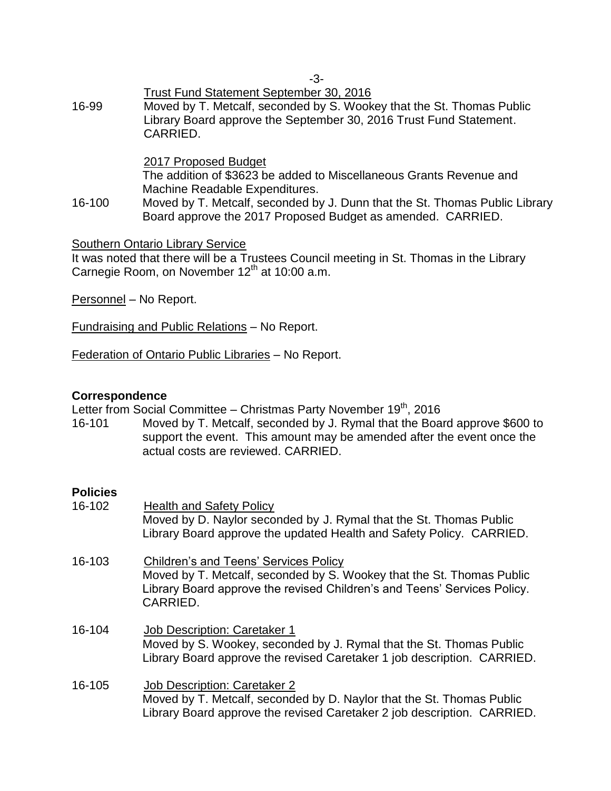Trust Fund Statement September 30, 2016 16-99 Moved by T. Metcalf, seconded by S. Wookey that the St. Thomas Public Library Board approve the September 30, 2016 Trust Fund Statement. CARRIED.

### 2017 Proposed Budget

The addition of \$3623 be added to Miscellaneous Grants Revenue and Machine Readable Expenditures.

16-100 Moved by T. Metcalf, seconded by J. Dunn that the St. Thomas Public Library Board approve the 2017 Proposed Budget as amended. CARRIED.

### Southern Ontario Library Service

It was noted that there will be a Trustees Council meeting in St. Thomas in the Library Carnegie Room, on November 12<sup>th</sup> at 10:00 a.m.

Personnel – No Report.

Fundraising and Public Relations – No Report.

Federation of Ontario Public Libraries – No Report.

### **Correspondence**

Letter from Social Committee – Christmas Party November 19<sup>th</sup>, 2016

16-101 Moved by T. Metcalf, seconded by J. Rymal that the Board approve \$600 to support the event. This amount may be amended after the event once the actual costs are reviewed. CARRIED.

## **Policies**

| 16-102 | <b>Health and Safety Policy</b><br>Moved by D. Naylor seconded by J. Rymal that the St. Thomas Public<br>Library Board approve the updated Health and Safety Policy. CARRIED.                          |
|--------|--------------------------------------------------------------------------------------------------------------------------------------------------------------------------------------------------------|
| 16-103 | Children's and Teens' Services Policy<br>Moved by T. Metcalf, seconded by S. Wookey that the St. Thomas Public<br>Library Board approve the revised Children's and Teens' Services Policy.<br>CARRIED. |
| 16-104 | Job Description: Caretaker 1<br>Moved by S. Wookey, seconded by J. Rymal that the St. Thomas Public<br>Library Board approve the revised Caretaker 1 job description. CARRIED.                         |
| 16-105 | <b>Job Description: Caretaker 2</b><br>Moved by T. Metcalf, seconded by D. Naylor that the St. Thomas Public<br>Library Board approve the revised Caretaker 2 job description. CARRIED.                |